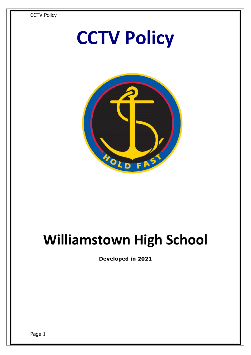

## **Williamstown High School**

**Developed in 2021**

Page 1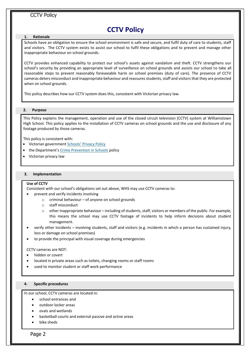## **CCTV Policy**

#### **1. Rationale**

 Schools have an obligation to ensure the school environment is safe and secure, and fulfil duty of care to students, staff and visitors. The CCTV system exists to assist our school to fulfil these obligations and to prevent and manage other inappropriate behaviour on school grounds.

CCTV provides enhanced capability to protect our school's assets against vandalism and theft. CCTV strengthens our school's security by providing an appropriate level of surveillance on school grounds and assists our school to take all reasonable steps to prevent reasonably foreseeable harm on school premises (duty of care). The presence of CCTV cameras deters misconduct and inappropriate behaviour and reassures students, staff and visitors that they are protected when on school grounds.

This policy describes how our CCTV system does this, consistent with Victorian privacy law.

#### **2. Purpose**

This Policy explains the management, operation and use of the closed circuit television (CCTV) system at Williamstown High School. This policy applies to the installation of CCTV cameras on school grounds and the use and disclosure of any footage produced by those cameras.

This policy is consistent with:

- Victorian government [Schools' Privacy Policy](https://www.education.vic.gov.au/Pages/schoolsprivacypolicy.aspx)
- the Department's [Crime Prevention in Schools](https://www2.education.vic.gov.au/pal/crime-prevention-schools/policy) policy
- Victorian privacy law

#### **3. Implementation**

#### **Use of CCTV**

Consistent with our school's obligations set out above, WHS may use CCTV cameras to:

- prevent and verify incidents involving
	- $\circ$  criminal behaviour of anyone on school grounds
	- o staff misconduct
	- $\circ$  other inappropriate behaviour including of students, staff, visitors or members of the public. For example, this means the school may use CCTV footage of incidents to help inform decisions about student management.
- verify other incidents involving students, staff and visitors (e.g. incidents in which a person has sustained injury, loss or damage on school premises)
- to provide the principal with visual coverage during emergencies

#### CCTV cameras are NOT:

- hidden or covert
- located in private areas such as toilets, changing rooms or staff rooms
- used to monitor student or staff work performance

#### **4. Specific procedures**

In our school, CCTV cameras are located in:

- school entrances and
- outdoor locker areas
- ovals and wetlands
- basketball courts and external passive and active areas
- bike sheds

Page 2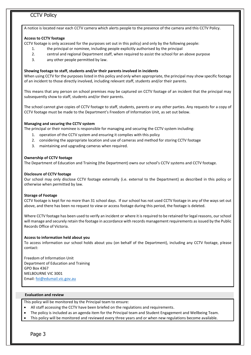A notice is located near each CCTV camera which alerts people to the presence of the camera and this CCTV Policy.

#### **Access to CCTV footage**

CCTV footage is only accessed for the purposes set out in this policy) and only by the following people:

- 1. the principal or nominee, including people explicitly authorised by the principal
- 2. central and regional Department staff, when required to assist the school for an above purpose
- 3. any other people permitted by law.

#### **Showing footage to staff, students and/or their parents involved in incidents**

When using CCTV for the purposes listed in this policy and only when appropriate, the principal may show specific footage of an incident to those directly involved, including relevant staff, students and/or their parents.

This means that any person on school premises may be captured on CCTV footage of an incident that the principal may subsequently show to staff, students and/or their parents.

The school cannot give copies of CCTV footage to staff, students, parents or any other parties. Any requests for a copy of CCTV footage must be made to the Department's Freedom of Information Unit, as set out below.

#### **Managing and securing the CCTV system**

The principal or their nominee is responsible for managing and securing the CCTV system including:

- 1. operation of the CCTV system and ensuring it complies with this policy
- 2. considering the appropriate location and use of cameras and method for storing CCTV footage
- 3. maintaining and upgrading cameras when required.

#### **Ownership of CCTV footage**

The Department of Education and Training (the Department) owns our school's CCTV systems and CCTV footage.

#### **Disclosure of CCTV footage**

Our school may only disclose CCTV footage externally (i.e. external to the Department) as described in this policy or otherwise when permitted by law.

#### **Storage of Footage**

CCTV footage is kept for no more than 31 school days. If our school has not used CCTV footage in any of the ways set out above, and there has been no request to view or access footage during this period, the footage is deleted.

Where CCTV footage has been used to verify an incident or where it is required to be retained for legal reasons, our school will manage and securely retain the footage in accordance with records management requirements as issued by the Public Records Office of Victoria.

#### **Access to information held about you**

To access information our school holds about you (on behalf of the Department), including any CCTV footage, please contact:

Freedom of Information Unit Department of Education and Training GPO Box 4367 MELBOURNE VIC 3001 Email[: foi@edumail.vic.gov.au](mailto:foi@edumail.vic.gov.au)

#### **Evaluation and review**

This policy will be monitored by the Principal team to ensure:

- All staff accessing the CCTV have been briefed on the regulations and requirements.
- The policy is included as an agenda item for the Principal team and Student Engagement and Wellbeing Team.
- This policy will be monitored and reviewed every three years and or when new regulations become available.

Page 3